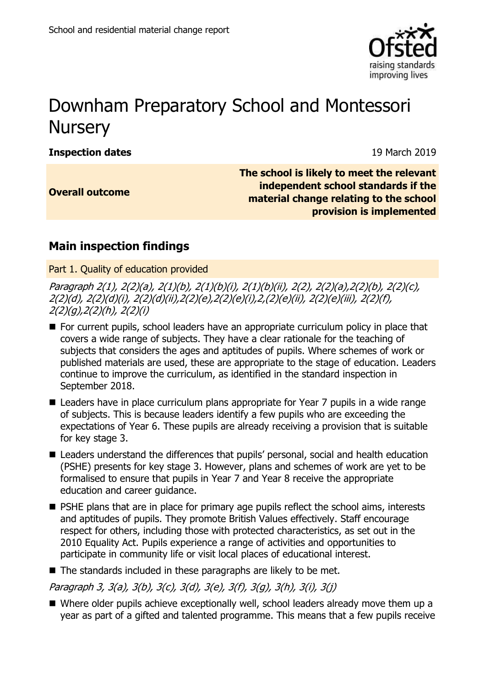

# Downham Preparatory School and Montessori **Nursery**

**Inspection dates** 19 March 2019

**Overall outcome**

**The Old Rectory, Lynn Road, Stow Bardon, Nr. King's Lynn, Norfolk, Pesaw 3html Road, Pesaw 3html Road, Pesaw 3h The school is likely to meet the relevant material change relating to the school provision is implemented** 

## **Main inspection findings**

Part 1. Quality of education provided

Paragraph 2(1), 2(2)(a), 2(1)(b), 2(1)(b)(i), 2(1)(b)(ii), 2(2), 2(2)(a),2(2)(b), 2(2)(c), 2(2)(d), 2(2)(d)(i), 2(2)(d)(ii),2(2)(e),2(2)(e)(i),2,(2)(e)(ii), 2(2)(e)(iii), 2(2)(f),  $2(2)(q)$ ,  $2(2)(h)$ ,  $2(2)(i)$ 

- For current pupils, school leaders have an appropriate curriculum policy in place that covers a wide range of subjects. They have a clear rationale for the teaching of subjects that considers the ages and aptitudes of pupils. Where schemes of work or published materials are used, these are appropriate to the stage of education. Leaders continue to improve the curriculum, as identified in the standard inspection in September 2018.
- Leaders have in place curriculum plans appropriate for Year 7 pupils in a wide range of subjects. This is because leaders identify a few pupils who are exceeding the expectations of Year 6. These pupils are already receiving a provision that is suitable for key stage 3.
- Leaders understand the differences that pupils' personal, social and health education (PSHE) presents for key stage 3. However, plans and schemes of work are yet to be formalised to ensure that pupils in Year 7 and Year 8 receive the appropriate education and career guidance.
- **PSHE plans that are in place for primary age pupils reflect the school aims, interests** and aptitudes of pupils. They promote British Values effectively. Staff encourage respect for others, including those with protected characteristics, as set out in the 2010 Equality Act. Pupils experience a range of activities and opportunities to participate in community life or visit local places of educational interest.
- The standards included in these paragraphs are likely to be met.

Paragraph 3, 3(a), 3(b), 3(c), 3(d), 3(e), 3(f), 3(g), 3(h), 3(i), 3(j)

■ Where older pupils achieve exceptionally well, school leaders already move them up a year as part of a gifted and talented programme. This means that a few pupils receive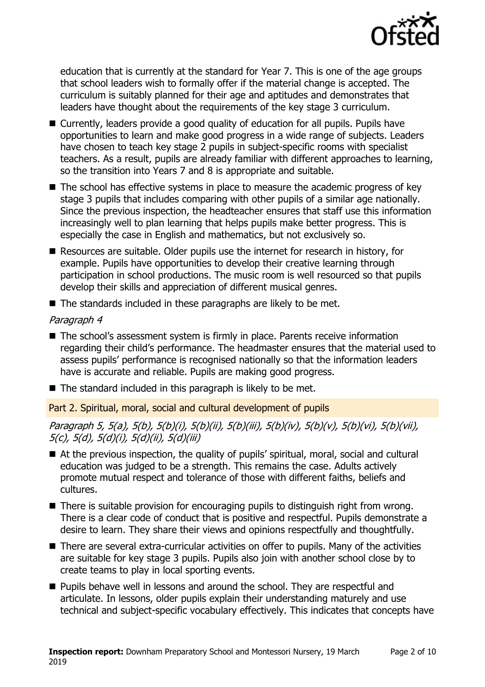

education that is currently at the standard for Year 7. This is one of the age groups that school leaders wish to formally offer if the material change is accepted. The curriculum is suitably planned for their age and aptitudes and demonstrates that leaders have thought about the requirements of the key stage 3 curriculum.

- Currently, leaders provide a good quality of education for all pupils. Pupils have opportunities to learn and make good progress in a wide range of subjects. Leaders have chosen to teach key stage 2 pupils in subject-specific rooms with specialist teachers. As a result, pupils are already familiar with different approaches to learning, so the transition into Years 7 and 8 is appropriate and suitable.
- $\blacksquare$  The school has effective systems in place to measure the academic progress of key stage 3 pupils that includes comparing with other pupils of a similar age nationally. Since the previous inspection, the headteacher ensures that staff use this information increasingly well to plan learning that helps pupils make better progress. This is especially the case in English and mathematics, but not exclusively so.
- Resources are suitable. Older pupils use the internet for research in history, for example. Pupils have opportunities to develop their creative learning through participation in school productions. The music room is well resourced so that pupils develop their skills and appreciation of different musical genres.
- $\blacksquare$  The standards included in these paragraphs are likely to be met.

#### Paragraph 4

- The school's assessment system is firmly in place. Parents receive information regarding their child's performance. The headmaster ensures that the material used to assess pupils' performance is recognised nationally so that the information leaders have is accurate and reliable. Pupils are making good progress.
- The standard included in this paragraph is likely to be met.

Part 2. Spiritual, moral, social and cultural development of pupils

Paragraph 5, 5(a), 5(b), 5(b)(i), 5(b)(ii), 5(b)(iii), 5(b)(iv), 5(b)(v), 5(b)(vi), 5(b)(vii), 5(c), 5(d), 5(d)(i), 5(d)(ii), 5(d)(iii)

- At the previous inspection, the quality of pupils' spiritual, moral, social and cultural education was judged to be a strength. This remains the case. Adults actively promote mutual respect and tolerance of those with different faiths, beliefs and cultures.
- There is suitable provision for encouraging pupils to distinguish right from wrong. There is a clear code of conduct that is positive and respectful. Pupils demonstrate a desire to learn. They share their views and opinions respectfully and thoughtfully.
- There are several extra-curricular activities on offer to pupils. Many of the activities are suitable for key stage 3 pupils. Pupils also join with another school close by to create teams to play in local sporting events.
- **Pupils behave well in lessons and around the school. They are respectful and** articulate. In lessons, older pupils explain their understanding maturely and use technical and subject-specific vocabulary effectively. This indicates that concepts have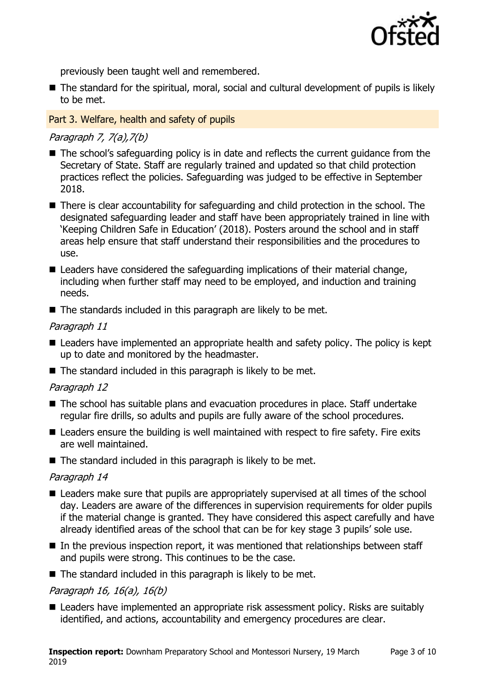

previously been taught well and remembered.

■ The standard for the spiritual, moral, social and cultural development of pupils is likely to be met.

#### Part 3. Welfare, health and safety of pupils

#### Paragraph 7, 7(a),7(b)

- The school's safeguarding policy is in date and reflects the current guidance from the Secretary of State. Staff are regularly trained and updated so that child protection practices reflect the policies. Safeguarding was judged to be effective in September 2018.
- There is clear accountability for safeguarding and child protection in the school. The designated safeguarding leader and staff have been appropriately trained in line with 'Keeping Children Safe in Education' (2018). Posters around the school and in staff areas help ensure that staff understand their responsibilities and the procedures to use.
- Leaders have considered the safeguarding implications of their material change, including when further staff may need to be employed, and induction and training needs.
- The standards included in this paragraph are likely to be met.

#### Paragraph 11

- Leaders have implemented an appropriate health and safety policy. The policy is kept up to date and monitored by the headmaster.
- $\blacksquare$  The standard included in this paragraph is likely to be met.

#### Paragraph 12

- The school has suitable plans and evacuation procedures in place. Staff undertake regular fire drills, so adults and pupils are fully aware of the school procedures.
- Leaders ensure the building is well maintained with respect to fire safety. Fire exits are well maintained.
- $\blacksquare$  The standard included in this paragraph is likely to be met.

#### Paragraph 14

- Leaders make sure that pupils are appropriately supervised at all times of the school day. Leaders are aware of the differences in supervision requirements for older pupils if the material change is granted. They have considered this aspect carefully and have already identified areas of the school that can be for key stage 3 pupils' sole use.
- $\blacksquare$  In the previous inspection report, it was mentioned that relationships between staff and pupils were strong. This continues to be the case.
- $\blacksquare$  The standard included in this paragraph is likely to be met.

#### Paragraph 16, 16(a), 16(b)

■ Leaders have implemented an appropriate risk assessment policy. Risks are suitably identified, and actions, accountability and emergency procedures are clear.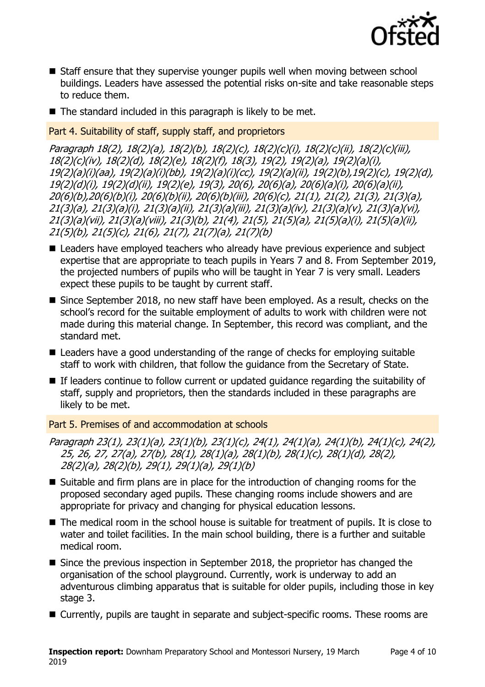

- Staff ensure that they supervise younger pupils well when moving between school buildings. Leaders have assessed the potential risks on-site and take reasonable steps to reduce them.
- $\blacksquare$  The standard included in this paragraph is likely to be met.

Part 4. Suitability of staff, supply staff, and proprietors

Paragraph 18(2), 18(2)(a), 18(2)(b), 18(2)(c), 18(2)(c)(i), 18(2)(c)(ii), 18(2)(c)(iii), 18(2)(c)(iv), 18(2)(d), 18(2)(e), 18(2)(f), 18(3), 19(2), 19(2)(a), 19(2)(a)(i), 19(2)(a)(i)(aa), 19(2)(a)(i)(bb), 19(2)(a)(i)(cc), 19(2)(a)(ii), 19(2)(b),19(2)(c), 19(2)(d), 19(2)(d)(i), 19(2)(d)(ii), 19(2)(e), 19(3), 20(6), 20(6)(a), 20(6)(a)(i), 20(6)(a)(ii), 20(6)(b),20(6)(b)(i), 20(6)(b)(ii), 20(6)(b)(iii), 20(6)(c), 21(1), 21(2), 21(3), 21(3)(a), 21(3)(a), 21(3)(a)(i), 21(3)(a)(ii), 21(3)(a)(iii), 21(3)(a)(iv), 21(3)(a)(v), 21(3)(a)(vi), 21(3)(a)(vii), 21(3)(a)(viii), 21(3)(b), 21(4), 21(5), 21(5)(a), 21(5)(a)(i), 21(5)(a)(ii), 21(5)(b), 21(5)(c), 21(6), 21(7), 21(7)(a), 21(7)(b)

- Leaders have employed teachers who already have previous experience and subject expertise that are appropriate to teach pupils in Years 7 and 8. From September 2019, the projected numbers of pupils who will be taught in Year 7 is very small. Leaders expect these pupils to be taught by current staff.
- Since September 2018, no new staff have been employed. As a result, checks on the school's record for the suitable employment of adults to work with children were not made during this material change. In September, this record was compliant, and the standard met.
- Leaders have a good understanding of the range of checks for employing suitable staff to work with children, that follow the guidance from the Secretary of State.
- If leaders continue to follow current or updated guidance regarding the suitability of staff, supply and proprietors, then the standards included in these paragraphs are likely to be met.

Part 5. Premises of and accommodation at schools

Paragraph 23(1), 23(1)(a), 23(1)(b), 23(1)(c), 24(1), 24(1)(a), 24(1)(b), 24(1)(c), 24(2), 25, 26, 27, 27(a), 27(b), 28(1), 28(1)(a), 28(1)(b), 28(1)(c), 28(1)(d), 28(2), 28(2)(a), 28(2)(b), 29(1), 29(1)(a), 29(1)(b)

- $\blacksquare$  Suitable and firm plans are in place for the introduction of changing rooms for the proposed secondary aged pupils. These changing rooms include showers and are appropriate for privacy and changing for physical education lessons.
- The medical room in the school house is suitable for treatment of pupils. It is close to water and toilet facilities. In the main school building, there is a further and suitable medical room.
- Since the previous inspection in September 2018, the proprietor has changed the organisation of the school playground. Currently, work is underway to add an adventurous climbing apparatus that is suitable for older pupils, including those in key stage 3.
- Currently, pupils are taught in separate and subject-specific rooms. These rooms are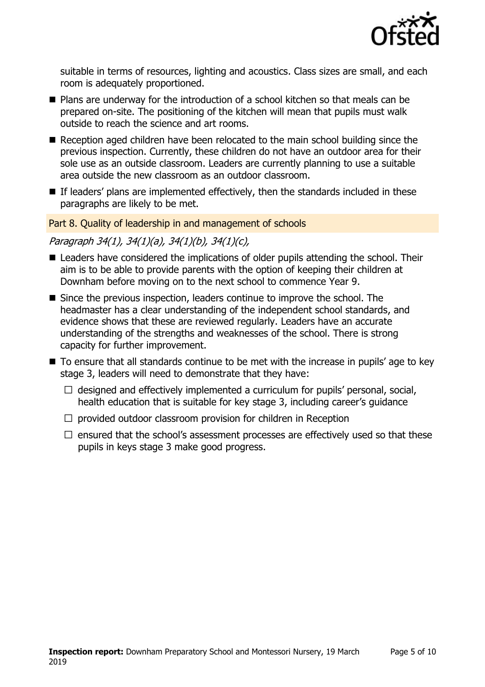

suitable in terms of resources, lighting and acoustics. Class sizes are small, and each room is adequately proportioned.

- Plans are underway for the introduction of a school kitchen so that meals can be prepared on-site. The positioning of the kitchen will mean that pupils must walk outside to reach the science and art rooms.
- Reception aged children have been relocated to the main school building since the previous inspection. Currently, these children do not have an outdoor area for their sole use as an outside classroom. Leaders are currently planning to use a suitable area outside the new classroom as an outdoor classroom.
- $\blacksquare$  If leaders' plans are implemented effectively, then the standards included in these paragraphs are likely to be met.

#### Part 8. Quality of leadership in and management of schools

#### Paragraph 34(1), 34(1)(a), 34(1)(b), 34(1)(c),

- Leaders have considered the implications of older pupils attending the school. Their aim is to be able to provide parents with the option of keeping their children at Downham before moving on to the next school to commence Year 9.
- Since the previous inspection, leaders continue to improve the school. The headmaster has a clear understanding of the independent school standards, and evidence shows that these are reviewed regularly. Leaders have an accurate understanding of the strengths and weaknesses of the school. There is strong capacity for further improvement.
- To ensure that all standards continue to be met with the increase in pupils' age to key stage 3, leaders will need to demonstrate that they have:
	- $\Box$  designed and effectively implemented a curriculum for pupils' personal, social, health education that is suitable for key stage 3, including career's guidance
	- $\Box$  provided outdoor classroom provision for children in Reception
	- $\Box$  ensured that the school's assessment processes are effectively used so that these pupils in keys stage 3 make good progress.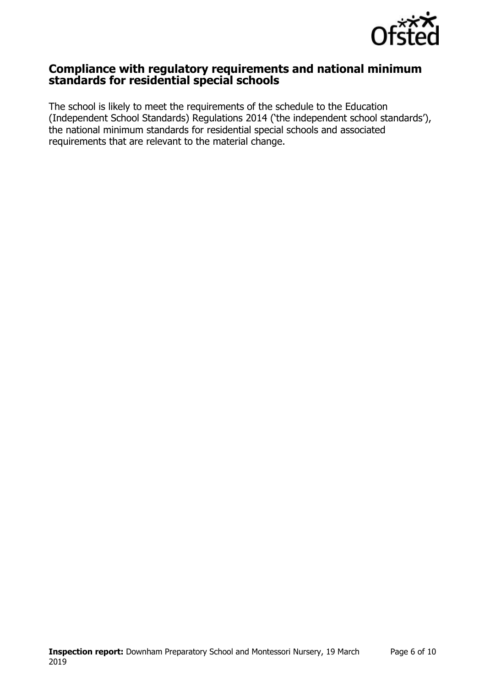

### **Compliance with regulatory requirements and national minimum standards for residential special schools**

The school is likely to meet the requirements of the schedule to the Education (Independent School Standards) Regulations 2014 ('the independent school standards'), the national minimum standards for residential special schools and associated requirements that are relevant to the material change.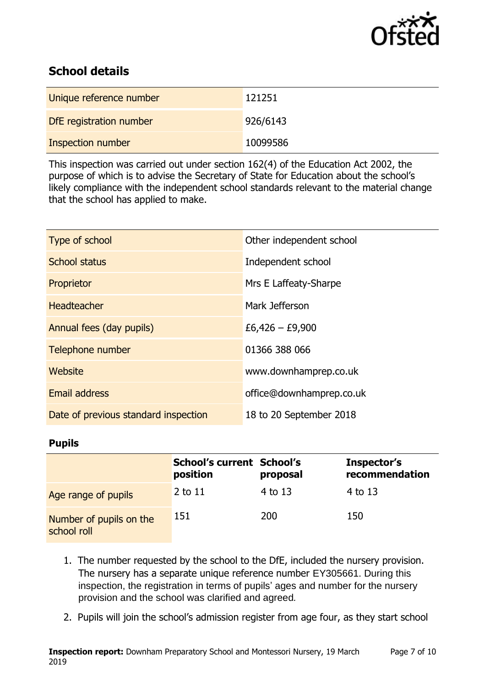

## **School details**

| Unique reference number | 121251   |
|-------------------------|----------|
| DfE registration number | 926/6143 |
| Inspection number       | 10099586 |

This inspection was carried out under section 162(4) of the Education Act 2002, the purpose of which is to advise the Secretary of State for Education about the school's likely compliance with the independent school standards relevant to the material change that the school has applied to make.

| Type of school                       | Other independent school |
|--------------------------------------|--------------------------|
| School status                        | Independent school       |
| Proprietor                           | Mrs E Laffeaty-Sharpe    |
| <b>Headteacher</b>                   | Mark Jefferson           |
| Annual fees (day pupils)             | $£6,426 - £9,900$        |
| Telephone number                     | 01366 388 066            |
| Website                              | www.downhamprep.co.uk    |
| <b>Email address</b>                 | office@downhamprep.co.uk |
| Date of previous standard inspection | 18 to 20 September 2018  |

#### **Pupils**

|                                        | <b>School's current School's</b><br>position | proposal | Inspector's<br>recommendation |
|----------------------------------------|----------------------------------------------|----------|-------------------------------|
| Age range of pupils                    | $2$ to $11$                                  | 4 to 13  | 4 to 13                       |
| Number of pupils on the<br>school roll | 151                                          | 200      | 150                           |

- 1. The number requested by the school to the DfE, included the nursery provision. The nursery has a separate unique reference number EY305661. During this inspection, the registration in terms of pupils' ages and number for the nursery provision and the school was clarified and agreed*.*
- 2. Pupils will join the school's admission register from age four, as they start school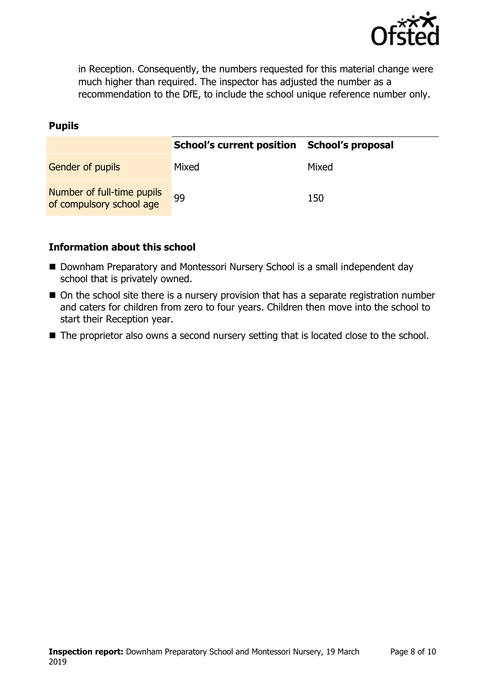

in Reception. Consequently, the numbers requested for this material change were much higher than required. The inspector has adjusted the number as a recommendation to the DfE, to include the school unique reference number only.

#### **Pupils**

|                                                        | School's current position School's proposal |       |
|--------------------------------------------------------|---------------------------------------------|-------|
| <b>Gender of pupils</b>                                | Mixed                                       | Mixed |
| Number of full-time pupils<br>of compulsory school age | 99                                          | 150   |

#### **Information about this school**

- Downham Preparatory and Montessori Nursery School is a small independent day school that is privately owned.
- On the school site there is a nursery provision that has a separate registration number and caters for children from zero to four years. Children then move into the school to start their Reception year.
- The proprietor also owns a second nursery setting that is located close to the school.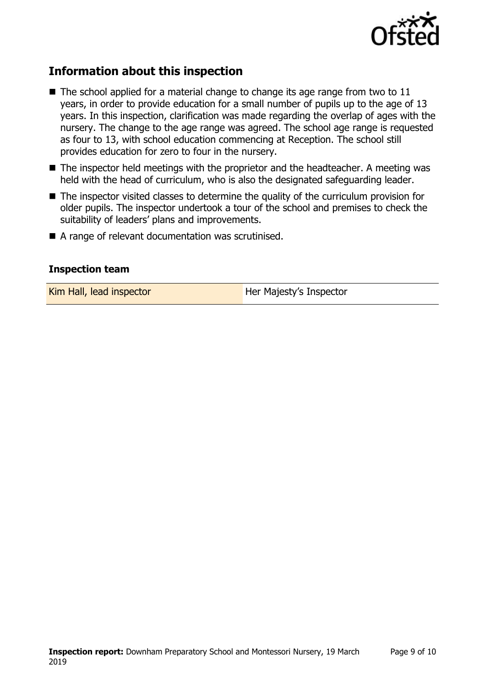

## **Information about this inspection**

- $\blacksquare$  The school applied for a material change to change its age range from two to 11 years, in order to provide education for a small number of pupils up to the age of 13 years. In this inspection, clarification was made regarding the overlap of ages with the nursery. The change to the age range was agreed. The school age range is requested as four to 13, with school education commencing at Reception. The school still provides education for zero to four in the nursery.
- The inspector held meetings with the proprietor and the headteacher. A meeting was held with the head of curriculum, who is also the designated safeguarding leader.
- The inspector visited classes to determine the quality of the curriculum provision for older pupils. The inspector undertook a tour of the school and premises to check the suitability of leaders' plans and improvements.
- A range of relevant documentation was scrutinised.

#### **Inspection team**

Kim Hall, lead inspector **Her Majesty's Inspector**